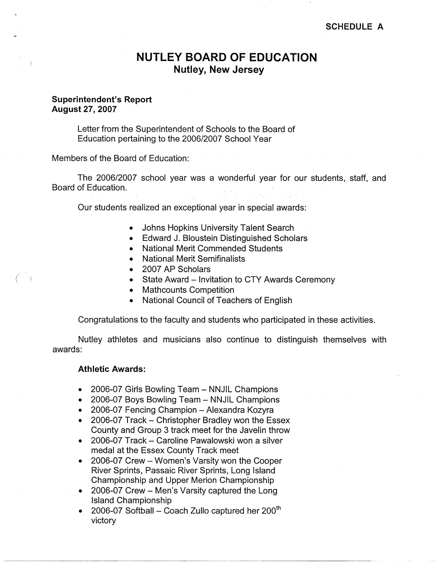## **SCHEDULE A**

# **NUTLEY BOARD OF EDUCATION Nutley, New Jersey**

# **Superintendent's Report August27,2007**

Letter from the Superintendent of Schools to the Board of Education pertaining to the 2006/2007 School Year

Members of the Board of Education:

The 2006/2007 school year was a wonderful year for our students, staff, and Board of Education.

Our students realized an exceptional year in special awards:

- Johns Hopkins University Talent Search
- Edward J. Bloustein Distinguished Scholars
- National Merit Commended Students
- National Merit Semifinalists
- 2007 AP Scholars
- State Award Invitation to CTY Awards Ceremony
- Mathcounts Competition
- National Council of Teachers of English

Congratulations to the faculty and students who participated in these activities.

Nutley athletes and musicians also continue to distinguish themselves with awards:

# **Athletic Awards:**

*(* -)

- 2006-07 Girls Bowling Team NNJIL Champions
- 2006-07 Boys Bowling Team NNJIL Champions
- 2006-07 Fencing Champion Alexandra Kozyra
- 2006-07 Track Christopher Bradley won the Essex County and Group 3 track meet for the Javelin throw
- 2006-07 Track Caroline Pawalowski won a silver medal at the Essex County Track meet
- 2006-07 Crew Women's Varsity won the Cooper River Sprints, Passaic River Sprints, Long Island Championship and Upper Merion Championship
- 2006-07 Crew Men's Varsity captured the Long Island Championship
- 2006-07 Softball Coach Zullo captured her  $200<sup>th</sup>$ victory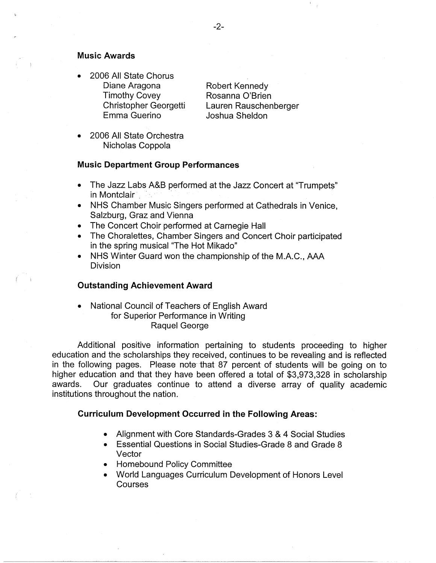### **Music Awards**

• 2006 All State Chorus Diane Aragona Timothy Covey Christopher Georgetti Emma Guerino

Robert Kennedy Rosanna O'Brien Lauren Rauschenberger Joshua Sheldon

• 2006 All State Orchestra Nicholas Coppola

### **Music Department Group Performances**

- The Jazz Labs A&B performed at the Jazz Concert at "Trumpets" in Montclair
- NHS Chamber Music Singers performed at Cathedrals in Venice, Salzburg, Graz and Vienna
- The Concert Choir performed at Carnegie Hall
- The Choralettes, Chamber Singers and Concert Choir participated in the spring musical "The Hot Mikado"
- NHS Winter Guard won the championship of the M.A.C., AAA Division

## **Outstanding Achievement Award**

• National Council of Teachers of English Award for Superior Performance in Writing Raquel George

Additional positive information pertaining to students proceeding to higher education and the scholarships they received, continues to be revealing and is reflected in the following pages. Please note that 87 percent of students will be going on to higher education and that they have been offered a total of \$3,973,328 in scholarship awards. Our graduates continue to attend a diverse array of quality academic institutions throughout the nation.

### **Curriculum Development Occurred in the Following Areas:**

- Alignment with Core Standards-Grades 3 & 4 Social Studies
- Essential Questions in Social Studies-Grade 8 and Grade 8 Vector
- Homebound Policy Committee
- World Languages Curriculum Development of Honors Level Courses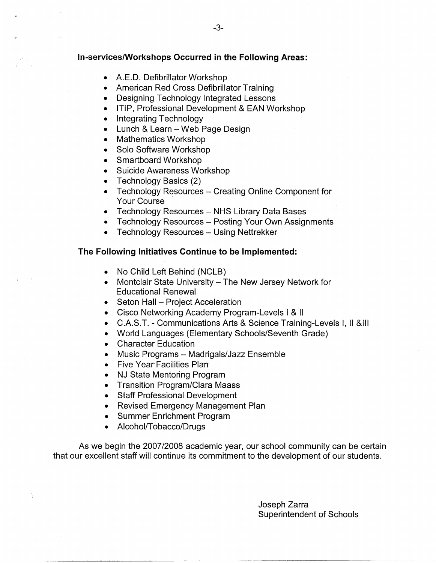## **In-services/Workshops Occurred in the Following Areas:**

- A.E.D. Defibrillator Workshop
- American Red Cross Defibrillator Training
- Designing Technology Integrated Lessons
- ITIP, Professional Development & EAN Workshop
- Integrating Technology
- Lunch & Learn Web Page Design
- Mathematics Workshop
- Solo Software Workshop
- Smartboard Workshop
- Suicide Awareness Workshop
- Technology Basics (2)
- Technology Resources Creating Online Component for Your Course
- Technology Resources NHS Library Data Bases
- Technology Resources Posting Your Own Assignments
- Technology Resources Using Nettrekker

# **The Following Initiatives Continue to be Implemented:**

- No Child Left Behind (NCLB)
- Montclair State University The New Jersey Network for Educational Renewal
- Seton Hall Project Acceleration
- Cisco Networking Academy Program-Levels I & 11
- C.A.S.T. Communications Arts & Science Training-Levels I, II &Ill
- World Languages (Elementary Schools/Seventh Grade)
- Character Education
- Music Programs Madrigals/Jazz Ensemble
- Five Year Facilities Plan
- NJ State Mentoring Program
- Transition Program/Clara Maass
- Staff Professional Development
- Revised Emergency Management Plan
- Summer Enrichment Program
- Alcohol/Tobacco/Drugs

As we begin the 2007/2008 academic year, our school community can be certain that our excellent staff will continue its commitment to the development of our students.

> Joseph Zarra Superintendent of Schools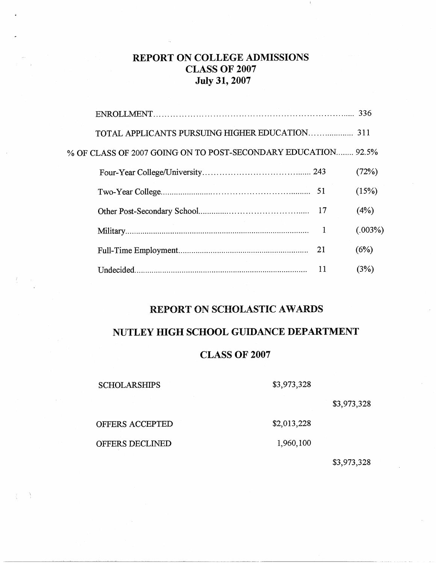# **REPORT ON COLLEGE ADMISSIONS CLASS OF** 2007 **July 31, 2007**

|                                                               |    | 336     |
|---------------------------------------------------------------|----|---------|
|                                                               |    |         |
| % OF CLASS OF 2007 GOING ON TO POST-SECONDARY EDUCATION 92.5% |    |         |
|                                                               |    | (72%)   |
|                                                               |    | (15%)   |
|                                                               |    | (4%)    |
|                                                               | 1  | (.003%) |
|                                                               |    | (6%)    |
| Undecided.                                                    | 11 | (3%)    |
|                                                               |    |         |

# **REPORT ON SCHOLASTIC AWARDS**

# **NUTLEY HIGH SCHOOL GUIDANCE DEPARTMENT**

# **CLASS OF 2007**

**SCHOLARSHIPS** 

\$3,973,328

\$2,013,228

\$3,973,328

OFFERS ACCEPTED

OFFERS DECLINED

- 1

1,960,100

## \$3,973,328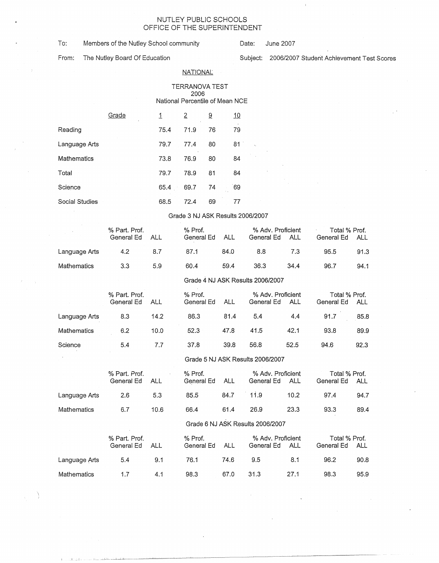#### NUTLEY PUBLIC SCHOOLS OFFICE OF THE SUPERINTENDENT

| To: | Members of the Nutley School community |
|-----|----------------------------------------|
|-----|----------------------------------------|

Date: June 2007

From: The Nutley Board Of Education Subject: 2006/2007 Student Achievement Test Scores

#### NATIONAL

TERRANOVA TEST 2006 National Percentile of Mean NCE

|                | Grade | 1    | 2    | <u>ର</u> | 10  |  |
|----------------|-------|------|------|----------|-----|--|
| Reading        |       | 75.4 | 71.9 | 76       | 79  |  |
| Language Arts  |       | 79.7 | 77.4 | 80       | 81. |  |
| Mathematics    |       | 73.8 | 76.9 | 80       | 84  |  |
| Total          |       | 79.7 | 78.9 | 81       | 84  |  |
| Science        |       | 65.4 | 69.7 | 74       | 69  |  |
| Social Studies |       | 68.5 | 72.4 | 69       | 77  |  |

#### Grade 3 NJ ASK Results 2006/2007

|               | % Part. Prof.<br>General Ed | ALL | % Prof.<br>General Ed | ALL  | % Adv. Proficient<br>General Ed | ALL  | Total % Prof.<br>General Ed | ALL  |
|---------------|-----------------------------|-----|-----------------------|------|---------------------------------|------|-----------------------------|------|
| Language Arts | 4.2                         | 8.7 | 87.1                  | 84.0 | 8.8                             | 7.3  | 95.5                        | 91.3 |
| Mathematics   | 3.3                         | 5.9 | 60.4                  | 59.4 | 36.3                            | 34.4 | 96.7                        | 94.1 |

#### Grade 4 NJ ASK Results 2006/2007

|               | % Part. Prof.<br>General Ed | ALL  | % Prof.<br>General Ed | ALL  | % Adv. Proficient<br>General Ed | ALL  | Total % Prof.<br>General Ed | ALL  |
|---------------|-----------------------------|------|-----------------------|------|---------------------------------|------|-----------------------------|------|
| Language Arts | 8.3                         | 14.2 | 86.3                  | 81.4 | 5.4                             | 4.4  | 91.7                        | 85.8 |
| Mathematics   | 6.2                         | 10.0 | 52.3                  | 47.8 | 41.5                            | 42.1 | 93.8                        | 89.9 |
| Science       | 5.4                         | 7.7  | 37.8                  | 39.8 | 56.8                            | 52.5 | 94.6                        | 92.3 |

#### Grade 5 NJ ASK Results 2006/2007

|               | % Part. Prof.<br>General Ed | <b>ALL</b> | % Prof.<br>General Ed | <b>ALL</b> | General Ed                       | % Adv. Proficient<br>ALL | Total % Prof.<br>General Ed | <b>ALL</b> |
|---------------|-----------------------------|------------|-----------------------|------------|----------------------------------|--------------------------|-----------------------------|------------|
| Language Arts | 2.6                         | 5.3        | 85.5                  | 84.7       | 11.9                             | 10.2                     | 97.4                        | 94.7       |
| Mathematics   | 6.7                         | 10.6       | 66.4                  | 61.4       | 26.9                             | 23.3                     | 93.3                        | 89.4       |
|               |                             |            |                       |            | Grade 6 NJ ASK Results 2006/2007 |                          |                             |            |
|               | % Part. Prof.<br>General Ed | ALL        | % Prof.<br>General Ed | <b>ALL</b> | % Adv. Proficient<br>General Ed  | ALL                      | Total % Prof.<br>General Ed | <b>ALL</b> |
| Language Arts | 5.4                         | 9.1        | 76.1                  | 74.6       | 9.5                              | 8.1                      | 96.2                        | 90.8       |
| Mathematics   | 1.7                         | 4.1        | 98.3                  | 67.0       | 31.3                             | 27.1                     | 98.3                        | 95.9       |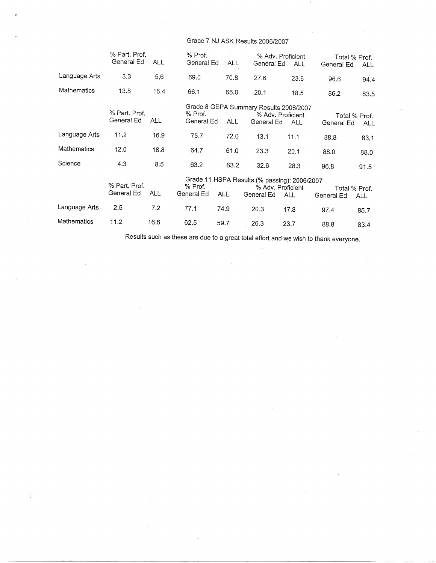# Grade 7.NJ ASK Results 2006/2007

|               | % Part. Prof.<br>General Ed | <b>ALL</b> | % Prof.<br>General Ed | <b>ALL</b> | General Ed                                                 | % Adv. Proficient<br><b>ALL</b> | Total % Prof.<br>General Ed | <b>ALL</b> |
|---------------|-----------------------------|------------|-----------------------|------------|------------------------------------------------------------|---------------------------------|-----------------------------|------------|
|               |                             |            |                       |            |                                                            |                                 |                             |            |
| Language Arts | 3.3                         | 5,6        | 69.0                  | 70.8       | 27.6                                                       | 23.6                            | 96.6                        | 94.4       |
| Mathematics   | 13.8                        | 16.4       | 66.1                  | 65.0       | 20.1                                                       | 18.5                            | 86.2                        | 83.5       |
|               | % Part. Prof.<br>General Ed | ALL.       | % Prof.<br>General Ed | ALL        | Grade 8 GEPA Summary Results 2006/2007<br>General Ed       | % Adv. Proficient<br><b>ALL</b> | Total % Prof.<br>General Ed | ALL        |
| Language Arts | 11.2                        | 16.9       | 75.7                  | 72.0       | 13.1                                                       | 11.1                            | 88.8                        | 83.1       |
| Mathematics   | 12.0                        | 18.8       | 64.7                  | 61.0       | 23.3                                                       | 20.1                            | 88.0                        | 88.0       |
| Science       | 4.3                         | 8.5        | 63.2                  | 63.2       | 32.6                                                       | 28.3                            | 96.8                        | 91.5       |
|               | % Part, Prof.<br>General Ed | <b>ALL</b> | % Prof.<br>General Ed | ALL.       | Grade 11 HSPA Results (% passing): 2006/2007<br>General Ed | % Adv. Proficient<br><b>ALL</b> | Total % Prof.<br>General Ed | ALL        |
| Language Arts | 2.5                         | 7.2        | 77.1                  | 74.9       | 20.3                                                       | 17.8                            | 97.4                        | 85.7       |
| Mathematics   | 11.2                        | 16.6       | 62.5                  | 59.7       | 26.3                                                       | 23.7                            | 88.8                        | 83.4       |

Results such as these are due to a great total effort and we wish to thank everyone.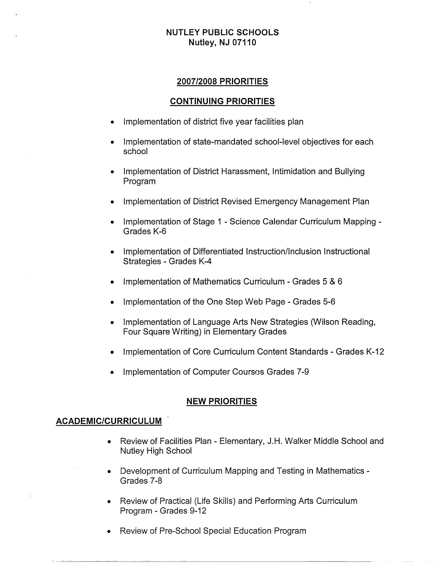# **NUTLEY PUBLIC SCHOOLS Nutley, NJ 07110**

# **2007/2008 PRIORITIES**

### **CONTINUING PRIORITIES**

- Implementation of district five year facilities plan
- Implementation of state-mandated school-level objectives for each school
- Implementation of District Harassment, Intimidation and Bullying Program
- Implementation of District Revised Emergency Management Plan
- Implementation of Stage 1 Science Calendar Curriculum Mapping Grades K-6
- Implementation of Differentiated Instruction/Inclusion Instructional Strategies - Grades K-4
- Implementation of Mathematics Curriculum Grades 5 & 6
- Implementation of the One Step Web Page Grades 5-6
- Implementation of Language Arts New Strategies (Wilson Reading, Four Square Writing) in Elementary Grades
- Implementation of Core Curriculum Content Standards Grades K-12
- Implementation of Computer Courses Grades 7-9

### **NEW PRIORITIES**

# **ACADEMIC/CURRICULUM**

- Review of Facilities Plan Elementary, J.H. Walker Middle School and Nutley High School
- Development of Curriculum Mapping and Testing in Mathematics Grades 7-8
- Review of Practical (Life Skills) and Performing Arts Curriculum Program - Grades 9-12
- Review of Pre-School Special Education Program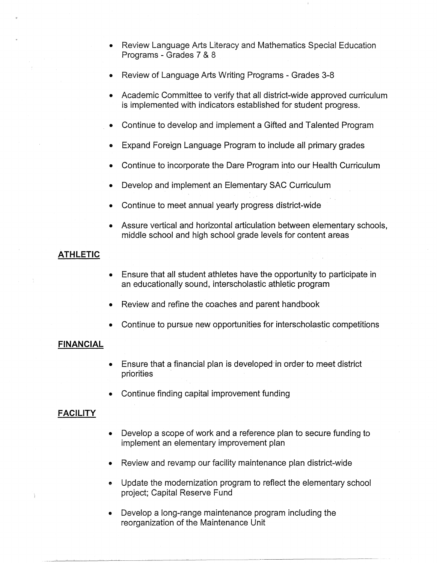- Review Language Arts Literacy and Mathematics Special Education Programs - Grades 7 & 8
- Review of Language Arts Writing Programs Grades 3-8
- Academic Committee to verify that all district-wide approved curriculum is implemented with indicators established for student progress.
- Continue to develop and implement a Gifted and Talented Program
- Expand Foreign Language Program to include all primary grades
- Continue to incorporate the Dare Program into our Health Curriculum
- Develop and implement an Elementary SAC Curriculum
- Continue to meet annual yearly progress district-wide
- Assure vertical and horizontal articulation between elementary schools, middle school and high school grade levels for content areas

# **ATHLETIC**

- Ensure that all student athletes have the opportunity to participate in an educationally sound, interscholastic athletic program
- Review and refine the coaches and parent handbook
- Continue to pursue new opportunities for interscholastic competitions

# **FINANCIAL**

- Ensure that a financial plan is developed-in order to meet district priorities
- Continue finding capital improvement funding

# **FACILITY**

- Develop a scope of work and a reference plan to secure funding to implement an elementary improvement plan
- Review and revamp our facility maintenance plan district-wide
- **<sup>e</sup>**Update the modernization program to reflect the elementary school project; Capital Reserve Fund
- Develop a long-range maintenance program including the reorganization of the Maintenance Unit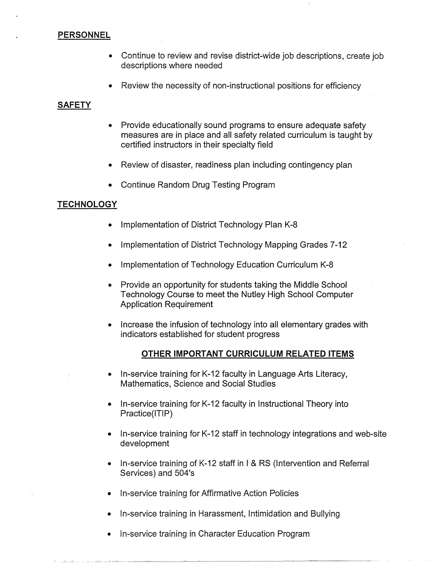# **PERSONNEL**

- Continue to review and revise district-wide job descriptions, create job descriptions where needed
- Review the necessity of non-instructional positions for efficiency

# **SAFETY**

- Provide educationally sound programs to ensure adequate safety measures are in place and all safety related curriculum is taught by certified instructors in their specialty field
- Review of disaster, readiness plan including contingency plan
- Continue Random Drug Testing Program

# **TECHNOLOGY**

- Implementation of District Technology Plan K-8
- Implementation of District Technology Mapping Grades 7-12
- Implementation of Technology Education Curriculum K-8
- Provide an opportunity for students taking the Middle School Technology Course to meet the Nutley High School Computer Application Requirement
- Increase the infusion of technology into all elementary grades with indicators established for student progress

# **OTHER IMPORTANT CURRICULUM RELATED ITEMS**

- In-service training for K-12 faculty in Language Arts Literacy, Mathematics, Science and Social Studies
- In-service training for K-12 faculty in Instructional Theory into Practice(ITIP)
- In-service training for K-12 staff in technology integrations and web-site development
- In-service training of K-12 staff in I & RS (Intervention and Referral Services) and 504's
- In-service training for Affirmative Action Policies
- In-service training in Harassment, Intimidation and Bullying
- In-service training in Character Education Program